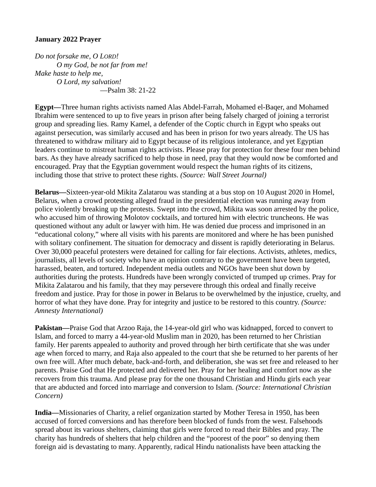## **January 2022 Prayer**

*Do not forsake me, O LORD! O my God, be not far from me! Make haste to help me, O Lord, my salvation!* —Psalm 38: 21-22

**Egypt—**Three human rights activists named Alas Abdel-Farrah, Mohamed el-Baqer, and Mohamed Ibrahim were sentenced to up to five years in prison after being falsely charged of joining a terrorist group and spreading lies. Ramy Kamel, a defender of the Coptic church in Egypt who speaks out against persecution, was similarly accused and has been in prison for two years already. The US has threatened to withdraw military aid to Egypt because of its religious intolerance, and yet Egyptian leaders continue to mistreat human rights activists. Please pray for protection for these four men behind bars. As they have already sacrificed to help those in need, pray that they would now be comforted and encouraged. Pray that the Egyptian government would respect the human rights of its citizens, including those that strive to protect these rights. *(Source: Wall Street Journal)*

**Belarus—**Sixteen-year-old Mikita Zalatarou was standing at a bus stop on 10 August 2020 in Homel, Belarus, when a crowd protesting alleged fraud in the presidential election was running away from police violently breaking up the protests. Swept into the crowd, Mikita was soon arrested by the police, who accused him of throwing Molotov cocktails, and tortured him with electric truncheons. He was questioned without any adult or lawyer with him. He was denied due process and imprisoned in an "educational colony," where all visits with his parents are monitored and where he has been punished with solitary confinement. The situation for democracy and dissent is rapidly deteriorating in Belarus. Over 30,000 peaceful protesters were detained for calling for fair elections. Activists, athletes, medics, journalists, all levels of society who have an opinion contrary to the government have been targeted, harassed, beaten, and tortured. Independent media outlets and NGOs have been shut down by authorities during the protests. Hundreds have been wrongly convicted of trumped up crimes. Pray for Mikita Zalatarou and his family, that they may persevere through this ordeal and finally receive freedom and justice. Pray for those in power in Belarus to be overwhelmed by the injustice, cruelty, and horror of what they have done. Pray for integrity and justice to be restored to this country. *(Source: Amnesty International)*

**Pakistan—**Praise God that Arzoo Raja, the 14-year-old girl who was kidnapped, forced to convert to Islam, and forced to marry a 44-year-old Muslim man in 2020, has been returned to her Christian family. Her parents appealed to authority and proved through her birth certificate that she was under age when forced to marry, and Raja also appealed to the court that she be returned to her parents of her own free will. After much debate, back-and-forth, and deliberation, she was set free and released to her parents. Praise God that He protected and delivered her. Pray for her healing and comfort now as she recovers from this trauma. And please pray for the one thousand Christian and Hindu girls each year that are abducted and forced into marriage and conversion to Islam. *(Source: International Christian Concern)*

**India—**Missionaries of Charity, a relief organization started by Mother Teresa in 1950, has been accused of forced conversions and has therefore been blocked of funds from the west. Falsehoods spread about its various shelters, claiming that girls were forced to read their Bibles and pray. The charity has hundreds of shelters that help children and the "poorest of the poor" so denying them foreign aid is devastating to many. Apparently, radical Hindu nationalists have been attacking the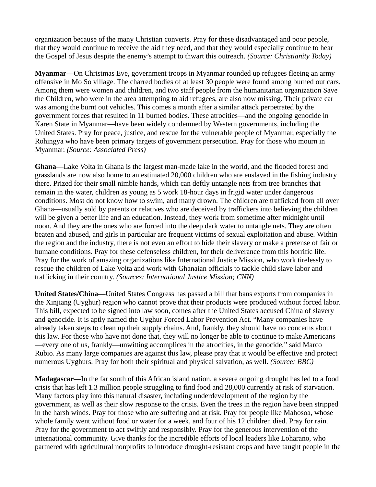organization because of the many Christian converts. Pray for these disadvantaged and poor people, that they would continue to receive the aid they need, and that they would especially continue to hear the Gospel of Jesus despite the enemy's attempt to thwart this outreach. *(Source: Christianity Today)*

**Myanmar—**On Christmas Eve, government troops in Myanmar rounded up refugees fleeing an army offensive in Mo So village. The charred bodies of at least 30 people were found among burned out cars. Among them were women and children, and two staff people from the humanitarian organization Save the Children, who were in the area attempting to aid refugees, are also now missing. Their private car was among the burnt out vehicles. This comes a month after a similar attack perpetrated by the government forces that resulted in 11 burned bodies. These atrocities—and the ongoing genocide in Karen State in Myanmar—have been widely condemned by Western governments, including the United States. Pray for peace, justice, and rescue for the vulnerable people of Myanmar, especially the Rohingya who have been primary targets of government persecution. Pray for those who mourn in Myanmar. *(Source: Associated Press)*

**Ghana—**Lake Volta in Ghana is the largest man-made lake in the world, and the flooded forest and grasslands are now also home to an estimated 20,000 children who are enslaved in the fishing industry there. Prized for their small nimble hands, which can deftly untangle nets from tree branches that remain in the water, children as young as 5 work 18-hour days in frigid water under dangerous conditions. Most do not know how to swim, and many drown. The children are trafficked from all over Ghana—usually sold by parents or relatives who are deceived by traffickers into believing the children will be given a better life and an education. Instead, they work from sometime after midnight until noon. And they are the ones who are forced into the deep dark water to untangle nets. They are often beaten and abused, and girls in particular are frequent victims of sexual exploitation and abuse. Within the region and the industry, there is not even an effort to hide their slavery or make a pretense of fair or humane conditions. Pray for these defenseless children, for their deliverance from this horrific life. Pray for the work of amazing organizations like International Justice Mission, who work tirelessly to rescue the children of Lake Volta and work with Ghanaian officials to tackle child slave labor and trafficking in their country. *(Sources: International Justice Mission; CNN)*

**United States/China—**United States Congress has passed a bill that bans exports from companies in the Xinjiang (Uyghur) region who cannot prove that their products were produced without forced labor. This bill, expected to be signed into law soon, comes after the United States accused China of slavery and genocide. It is aptly named the Uyghur Forced Labor Prevention Act. "Many companies have already taken steps to clean up their supply chains. And, frankly, they should have no concerns about this law. For those who have not done that, they will no longer be able to continue to make Americans —every one of us, frankly—unwitting accomplices in the atrocities, in the genocide," said Marco Rubio. As many large companies are against this law, please pray that it would be effective and protect numerous Uyghurs. Pray for both their spiritual and physical salvation, as well. *(Source: BBC)*

**Madagascar—**In the far south of this African island nation, a severe ongoing drought has led to a food crisis that has left 1.3 million people struggling to find food and 28,000 currently at risk of starvation. Many factors play into this natural disaster, including underdevelopment of the region by the government, as well as their slow response to the crisis. Even the trees in the region have been stripped in the harsh winds. Pray for those who are suffering and at risk. Pray for people like Mahosoa, whose whole family went without food or water for a week, and four of his 12 children died. Pray for rain. Pray for the government to act swiftly and responsibly. Pray for the generous intervention of the international community. Give thanks for the incredible efforts of local leaders like Loharano, who partnered with agricultural nonprofits to introduce drought-resistant crops and have taught people in the